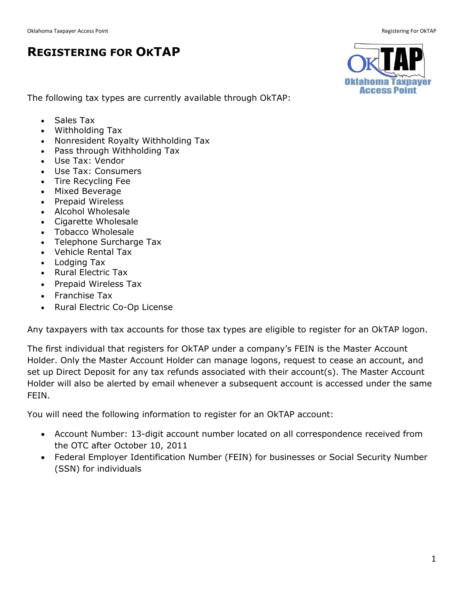## **REGISTERING FOR OKTAP**



The following tax types are currently available through OkTAP:

- Sales Tax
- Withholding Tax
- Nonresident Royalty Withholding Tax
- Pass through Withholding Tax
- Use Tax: Vendor
- Use Tax: Consumers
- Tire Recycling Fee
- Mixed Beverage
- Prepaid Wireless
- Alcohol Wholesale
- Cigarette Wholesale
- Tobacco Wholesale
- Telephone Surcharge Tax
- Vehicle Rental Tax
- Lodging Tax
- Rural Electric Tax
- Prepaid Wireless Tax
- Franchise Tax
- Rural Electric Co-Op License

Any taxpayers with tax accounts for those tax types are eligible to register for an OkTAP logon.

The first individual that registers for OkTAP under a company's FEIN is the Master Account Holder. Only the Master Account Holder can manage logons, request to cease an account, and set up Direct Deposit for any tax refunds associated with their account(s). The Master Account Holder will also be alerted by email whenever a subsequent account is accessed under the same FEIN.

You will need the following information to register for an OkTAP account:

- Account Number: 13-digit account number located on all correspondence received from the OTC after October 10, 2011
- Federal Employer Identification Number (FEIN) for businesses or Social Security Number (SSN) for individuals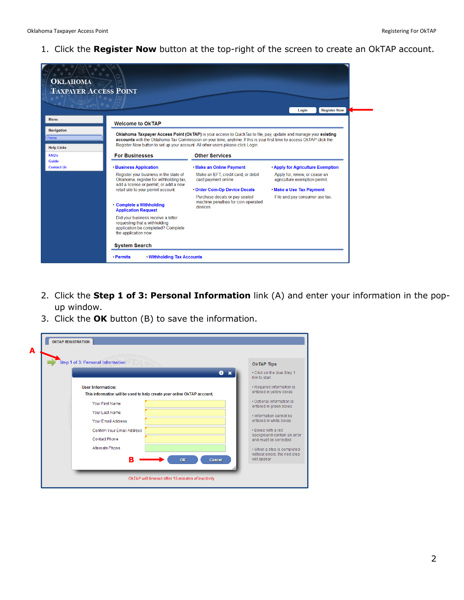1. Click the **Register Now** button at the top-right of the screen to create an OkTAP account.



- 2. Click the **Step 1 of 3: Personal Information** link (A) and enter your information in the popup window.
- 3. Click the **OK** button (B) to save the information.

| Step 1 of 3: Personal Information                                                                   | <b>OKTAP Tips</b>                                    |
|-----------------------------------------------------------------------------------------------------|------------------------------------------------------|
| $\bullet$<br>$\mathbf{x}$                                                                           | • Click on the blue Step 1<br>link to start          |
| <b>User Information:</b><br>This information will be used to help create your online OkTAP account. | · Required information is<br>entered in yellow boxes |
| Your First Name                                                                                     | · Optional information is<br>entered in green boxes  |
| Your Last Name                                                                                      | . Information cannot be                              |
| <b>Your Email Address</b>                                                                           | entered in white boxes                               |
| Confirm Your Email Address                                                                          | . Boxes with a red<br>background contain an error    |
| <b>Contact Phone</b>                                                                                | and must be corrected.                               |
| Alternate Phone                                                                                     | • When a step is completed                           |
| в<br>OK<br><b>Cancel</b>                                                                            | without errors, the next step<br>will appear         |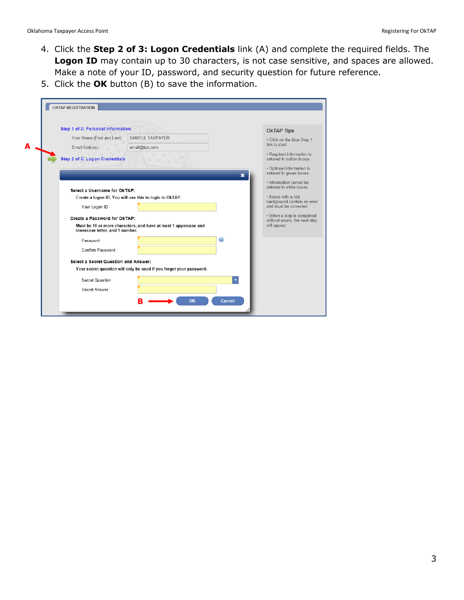- 4. Click the **Step 2 of 3: Logon Credentials** link (A) and complete the required fields. The **Logon ID** may contain up to 30 characters, is not case sensitive, and spaces are allowed. Make a note of your ID, password, and security question for future reference.
- 5. Click the **OK** button (B) to save the information.

| Step 1 of 3: Personal Information     |                                                                     |                       | <b>OkTAP Tips</b>                                           |
|---------------------------------------|---------------------------------------------------------------------|-----------------------|-------------------------------------------------------------|
| Your Name (First and Last)            | SAMPLE TAXPAYER                                                     |                       | • Click on the blue Step 1                                  |
| <b>Email Address</b>                  | email@tax.com                                                       |                       | link to start                                               |
| <b>Step 2 of 3: Logon Credentials</b> |                                                                     |                       | • Required information is<br>entered in yellow boxes        |
|                                       |                                                                     | ×                     | · Optional information is<br>entered in green boxes         |
| Select a Username for OkTAP:          |                                                                     |                       | . Information cannot be<br>entered in white boxes           |
|                                       | Create a logon ID. You will use this to login to OkTAP.             |                       | . Boxes with a red                                          |
| Your Logon ID                         |                                                                     |                       | background contain an error<br>and must be corrected        |
| Create a Password for OkTAP:          |                                                                     |                       | • When a step is completed<br>without errors, the next step |
| lowercase letter, and 1 number.       | Must be 10 or more characters, and have at least 1 uppercase and    |                       | will appear                                                 |
| Password                              |                                                                     | $\boldsymbol{\Theta}$ |                                                             |
| Confirm Password                      |                                                                     |                       |                                                             |
| Select a Secret Question and Answer:  |                                                                     |                       |                                                             |
|                                       | Your secret question will only be used if you forget your password. |                       |                                                             |
| Secret Question                       |                                                                     |                       |                                                             |
| Secret Answer                         |                                                                     |                       |                                                             |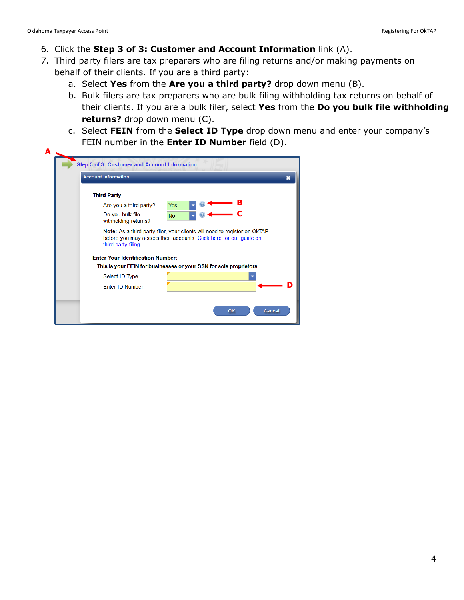- 6. Click the **Step 3 of 3: Customer and Account Information** link (A).
- 7. Third party filers are tax preparers who are filing returns and/or making payments on behalf of their clients. If you are a third party:
	- a. Select **Yes** from the **Are you a third party?** drop down menu (B).
	- b. Bulk filers are tax preparers who are bulk filing withholding tax returns on behalf of their clients. If you are a bulk filer, select **Yes** from the **Do you bulk file withholding returns?** drop down menu (C).
	- c. Select **FEIN** from the **Select ID Type** drop down menu and enter your company's FEIN number in the **Enter ID Number** field (D).

| <b>Third Party</b>                       |                                                                                                                                                |
|------------------------------------------|------------------------------------------------------------------------------------------------------------------------------------------------|
| Are you a third party?                   | <b>Yes</b>                                                                                                                                     |
| Do you bulk file<br>withholding returns? | <b>No</b>                                                                                                                                      |
| third party filing.                      | Note: As a third party filer, your clients will need to register on OkTAP<br>before you may access their accounts. Click here for our guide on |
| <b>Enter Your Identification Number:</b> |                                                                                                                                                |
|                                          | This is your FEIN for businesses or your SSN for sole proprietors.                                                                             |
| Select ID Type                           |                                                                                                                                                |
|                                          |                                                                                                                                                |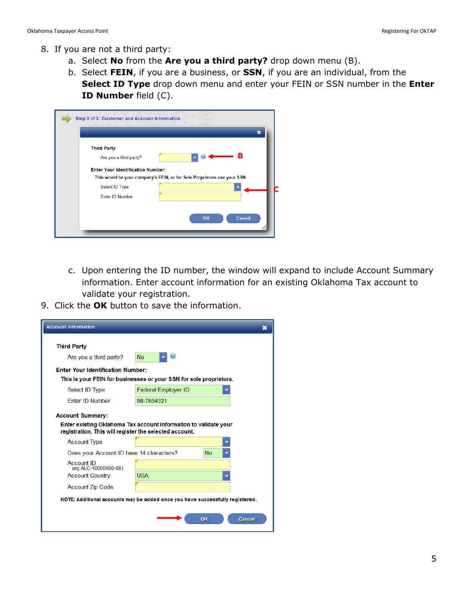- 8. If you are not a third party:
	- a. Select **No** from the **Are you a third party?** drop down menu (B).
	- b. Select **FEIN**, if you are a business, or **SSN**, if you are an individual, from the **Select ID Type** drop down menu and enter your FEIN or SSN number in the **Enter ID Number** field (C).

| Step 3 of 3: Customer and Account Information                            |
|--------------------------------------------------------------------------|
|                                                                          |
| <b>Third Party</b>                                                       |
| в<br>Are you a third party?                                              |
| <b>Enter Your Identification Number:</b>                                 |
| This would be your company's FEIN, or for Sole Proprietors use your SSN. |
| Select ID Type                                                           |
| Enter ID Number                                                          |
|                                                                          |
| OK<br>Cancel                                                             |
|                                                                          |
|                                                                          |

- c. Upon entering the ID number, the window will expand to include Account Summary information. Enter account information for an existing Oklahoma Tax account to validate your registration.
- 9. Click the **OK** button to save the information.

| <b>Account Information</b>                             |                                                                               |  |
|--------------------------------------------------------|-------------------------------------------------------------------------------|--|
| <b>Third Party</b>                                     |                                                                               |  |
| Are you a third party?                                 | <b>No</b>                                                                     |  |
| <b>Enter Your Identification Number:</b>               |                                                                               |  |
|                                                        | This is your FEIN for businesses or your SSN for sole proprietors.            |  |
| Select ID Type                                         | <b>Federal Employer ID</b>                                                    |  |
| <b>Enter ID Number</b>                                 | 98-7654321                                                                    |  |
| <b>Account Summary:</b>                                |                                                                               |  |
| registration. This will register the selected account. | Enter existing Oklahoma Tax account information to validate your              |  |
| <b>Account Type</b>                                    |                                                                               |  |
| Does your Account ID have 14 characters?               | <b>No</b>                                                                     |  |
| Account ID<br>(eg ALC-10000000-99)                     |                                                                               |  |
| <b>Account Country</b>                                 | <b>USA</b>                                                                    |  |
| <b>Account Zip Code</b>                                |                                                                               |  |
|                                                        | NOTE: Additional accounts may be added once you have successfully registered. |  |
|                                                        | Cancel<br>OK                                                                  |  |